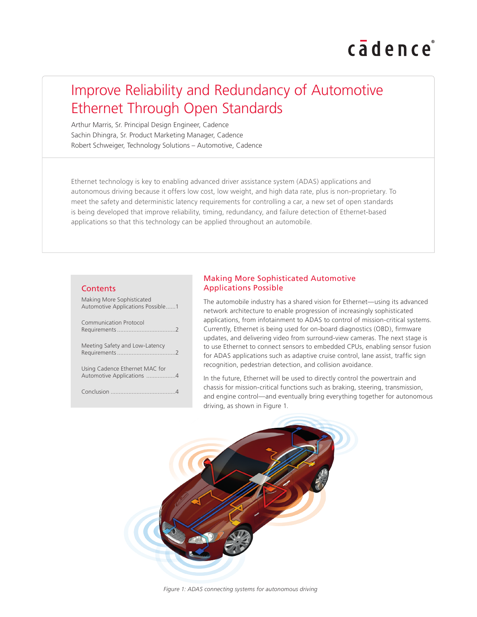# cadence

# Improve Reliability and Redundancy of Automotive Ethernet Through Open Standards

Arthur Marris, Sr. Principal Design Engineer, Cadence Sachin Dhingra, Sr. Product Marketing Manager, Cadence Robert Schweiger, Technology Solutions – Automotive, Cadence

Ethernet technology is key to enabling advanced driver assistance system (ADAS) applications and autonomous driving because it offers low cost, low weight, and high data rate, plus is non-proprietary. To meet the safety and deterministic latency requirements for controlling a car, a new set of open standards is being developed that improve reliability, timing, redundancy, and failure detection of Ethernet-based applications so that this technology can be applied throughout an automobile.

#### **Contents**

Making More Sophisticated Automotive Applications Possible......1

| Communication Protocol                                      |
|-------------------------------------------------------------|
| Meeting Safety and Low-Latency                              |
| Using Cadence Ethernet MAC for<br>Automotive Applications 4 |
|                                                             |

# Making More Sophisticated Automotive Applications Possible

The automobile industry has a shared vision for Ethernet—using its advanced network architecture to enable progression of increasingly sophisticated applications, from infotainment to ADAS to control of mission-critical systems. Currently, Ethernet is being used for on-board diagnostics (OBD), firmware updates, and delivering video from surround-view cameras. The next stage is to use Ethernet to connect sensors to embedded CPUs, enabling sensor fusion for ADAS applications such as adaptive cruise control, lane assist, traffic sign recognition, pedestrian detection, and collision avoidance.

In the future, Ethernet will be used to directly control the powertrain and chassis for mission-critical functions such as braking, steering, transmission, and engine control—and eventually bring everything together for autonomous driving, as shown in Figure 1.

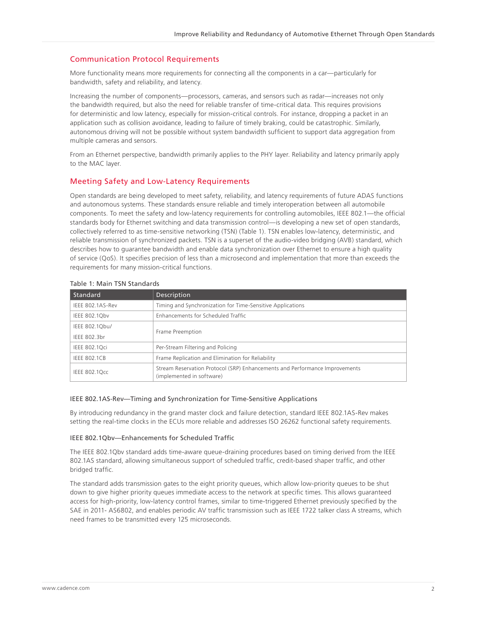# Communication Protocol Requirements

More functionality means more requirements for connecting all the components in a car—particularly for bandwidth, safety and reliability, and latency.

Increasing the number of components—processors, cameras, and sensors such as radar—increases not only the bandwidth required, but also the need for reliable transfer of time-critical data. This requires provisions for deterministic and low latency, especially for mission-critical controls. For instance, dropping a packet in an application such as collision avoidance, leading to failure of timely braking, could be catastrophic. Similarly, autonomous driving will not be possible without system bandwidth sufficient to support data aggregation from multiple cameras and sensors.

From an Ethernet perspective, bandwidth primarily applies to the PHY layer. Reliability and latency primarily apply to the MAC layer.

# Meeting Safety and Low-Latency Requirements

Open standards are being developed to meet safety, reliability, and latency requirements of future ADAS functions and autonomous systems. These standards ensure reliable and timely interoperation between all automobile components. To meet the safety and low-latency requirements for controlling automobiles, IEEE 802.1—the official standards body for Ethernet switching and data transmission control—is developing a new set of open standards, collectively referred to as time-sensitive networking (TSN) (Table 1). TSN enables low-latency, deterministic, and reliable transmission of synchronized packets. TSN is a superset of the audio-video bridging (AVB) standard, which describes how to guarantee bandwidth and enable data synchronization over Ethernet to ensure a high quality of service (QoS). It specifies precision of less than a microsecond and implementation that more than exceeds the requirements for many mission-critical functions.

| Standard             | Description                                                                                              |
|----------------------|----------------------------------------------------------------------------------------------------------|
| IEEE 802.1AS-Rev     | Timing and Synchronization for Time-Sensitive Applications                                               |
| IEEE 802.1Qbv        | Enhancements for Scheduled Traffic                                                                       |
| IEEE 802.1Qbu/       | Frame Preemption                                                                                         |
| IEEE 802.3br         |                                                                                                          |
| <b>IEEE 802.1Qci</b> | Per-Stream Filtering and Policing                                                                        |
| <b>IEEE 802.1CB</b>  | Frame Replication and Elimination for Reliability                                                        |
| <b>IEEE 802.1Qcc</b> | Stream Reservation Protocol (SRP) Enhancements and Performance Improvements<br>(implemented in software) |

### Table 1: Main TSN Standards

#### IEEE 802.1AS-Rev—Timing and Synchronization for Time-Sensitive Applications

By introducing redundancy in the grand master clock and failure detection, standard IEEE 802.1AS-Rev makes setting the real-time clocks in the ECUs more reliable and addresses ISO 26262 functional safety requirements.

#### IEEE 802.1Qbv—Enhancements for Scheduled Traffic

The IEEE 802.1Qbv standard adds time-aware queue-draining procedures based on timing derived from the IEEE 802.1AS standard, allowing simultaneous support of scheduled traffic, credit-based shaper traffic, and other bridged traffic.

The standard adds transmission gates to the eight priority queues, which allow low-priority queues to be shut down to give higher priority queues immediate access to the network at specific times. This allows guaranteed access for high-priority, low-latency control frames, similar to time-triggered Ethernet previously specified by the SAE in 2011- AS6802, and enables periodic AV traffic transmission such as IEEE 1722 talker class A streams, which need frames to be transmitted every 125 microseconds.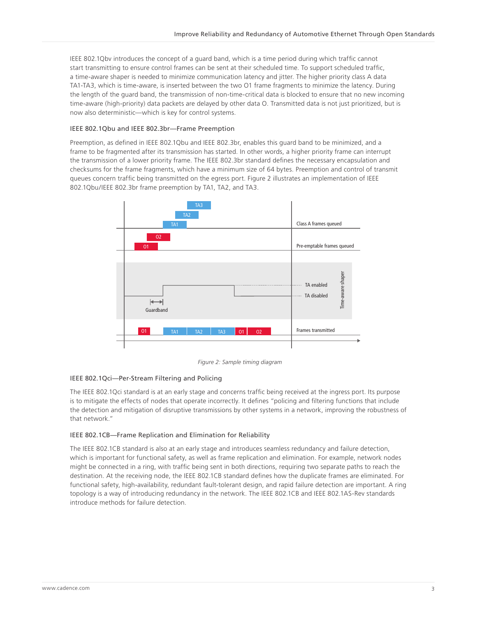IEEE 802.1Qbv introduces the concept of a guard band, which is a time period during which traffic cannot start transmitting to ensure control frames can be sent at their scheduled time. To support scheduled traffic, a time-aware shaper is needed to minimize communication latency and jitter. The higher priority class A data TA1-TA3, which is time-aware, is inserted between the two O1 frame fragments to minimize the latency. During the length of the guard band, the transmission of non-time-critical data is blocked to ensure that no new incoming time-aware (high-priority) data packets are delayed by other data O. Transmitted data is not just prioritized, but is now also deterministic—which is key for control systems.

#### IEEE 802.1Qbu and IEEE 802.3br—Frame Preemption

Preemption, as defined in IEEE 802.1Qbu and IEEE 802.3br, enables this guard band to be minimized, and a frame to be fragmented after its transmission has started. In other words, a higher priority frame can interrupt the transmission of a lower priority frame. The IEEE 802.3br standard defines the necessary encapsulation and checksums for the frame fragments, which have a minimum size of 64 bytes. Preemption and control of transmit queues concern traffic being transmitted on the egress port. Figure 2 illustrates an implementation of IEEE 802.1Qbu/IEEE 802.3br frame preemption by TA1, TA2, and TA3.



 *Figure 2: Sample timing diagram* 

#### IEEE 802.1Qci—Per-Stream Filtering and Policing

The IEEE 802.1Qci standard is at an early stage and concerns traffic being received at the ingress port. Its purpose is to mitigate the effects of nodes that operate incorrectly. It defines "policing and filtering functions that include the detection and mitigation of disruptive transmissions by other systems in a network, improving the robustness of that network."

#### IEEE 802.1CB—Frame Replication and Elimination for Reliability

The IEEE 802.1CB standard is also at an early stage and introduces seamless redundancy and failure detection, which is important for functional safety, as well as frame replication and elimination. For example, network nodes might be connected in a ring, with traffic being sent in both directions, requiring two separate paths to reach the destination. At the receiving node, the IEEE 802.1CB standard defines how the duplicate frames are eliminated. For functional safety, high-availability, redundant fault-tolerant design, and rapid failure detection are important. A ring topology is a way of introducing redundancy in the network. The IEEE 802.1CB and IEEE 802.1AS-Rev standards introduce methods for failure detection.